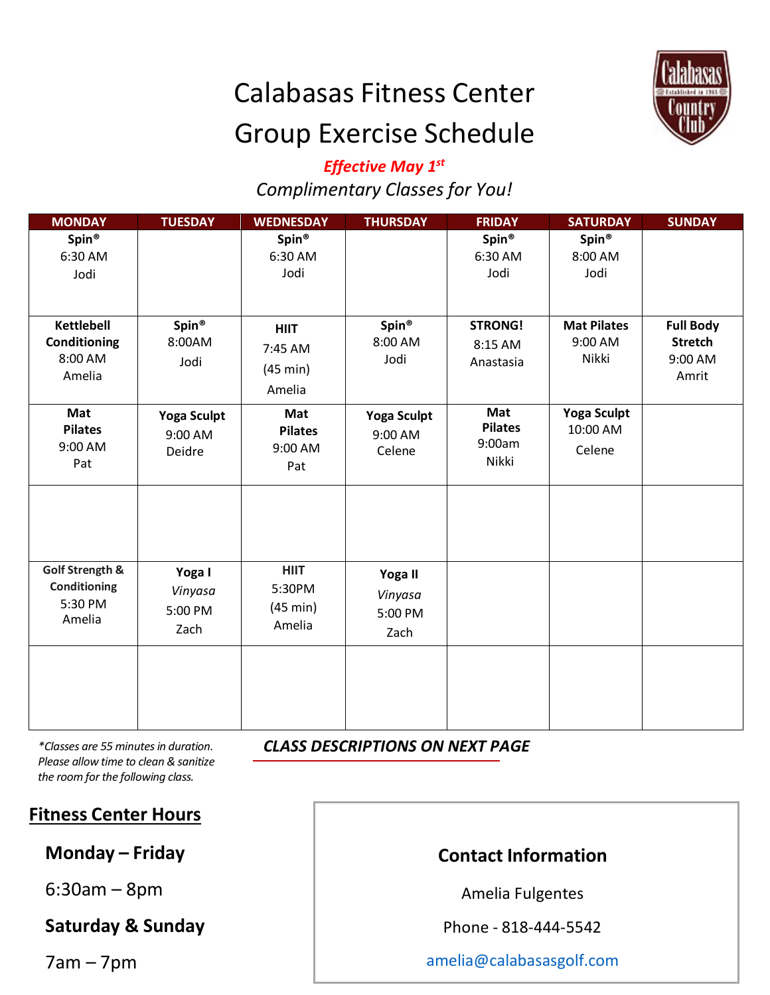# Calabasas Fitness Center Group Exercise Schedule



# *Effective May 1st Complimentary Classes for You!*

| <b>MONDAY</b>                                          | <b>TUESDAY</b>                          | <b>WEDNESDAY</b>                             | <b>THURSDAY</b>                         | <b>FRIDAY</b>                            | <b>SATURDAY</b>                          | <b>SUNDAY</b>                                          |
|--------------------------------------------------------|-----------------------------------------|----------------------------------------------|-----------------------------------------|------------------------------------------|------------------------------------------|--------------------------------------------------------|
| Spin <sup>®</sup><br>6:30 AM<br>Jodi                   |                                         | Spin <sup>®</sup><br>6:30 AM<br>Jodi         |                                         | Spin®<br>6:30 AM<br>Jodi                 | Spin®<br>8:00 AM<br>Jodi                 |                                                        |
| <b>Kettlebell</b><br>Conditioning<br>8:00 AM<br>Amelia | Spin <sup>®</sup><br>8:00AM<br>Jodi     | <b>HIIT</b><br>7:45 AM<br>(45 min)<br>Amelia | Spin <sup>®</sup><br>8:00 AM<br>Jodi    | <b>STRONG!</b><br>8:15 AM<br>Anastasia   | <b>Mat Pilates</b><br>9:00 AM<br>Nikki   | <b>Full Body</b><br><b>Stretch</b><br>9:00 AM<br>Amrit |
| Mat<br><b>Pilates</b><br>9:00 AM<br>Pat                | <b>Yoga Sculpt</b><br>9:00 AM<br>Deidre | Mat<br><b>Pilates</b><br>9:00 AM<br>Pat      | <b>Yoga Sculpt</b><br>9:00 AM<br>Celene | Mat<br><b>Pilates</b><br>9:00am<br>Nikki | <b>Yoga Sculpt</b><br>10:00 AM<br>Celene |                                                        |
| Golf Strength &<br>Conditioning<br>5:30 PM<br>Amelia   | Yoga I<br>Vinyasa<br>5:00 PM<br>Zach    | <b>HIIT</b><br>5:30PM<br>(45 min)<br>Amelia  | Yoga II<br>Vinyasa<br>5:00 PM<br>Zach   |                                          |                                          |                                                        |
|                                                        |                                         |                                              |                                         |                                          |                                          |                                                        |

*CLASS DESCRIPTIONS ON NEXT PAGE*

*\*Classes are 55 minutes in duration. Please allow time to clean & sanitize the room for the following class.*

### **Fitness Center Hours**

**Monday – Friday** 

6:30am – 8pm

**Saturday & Sunday**

7am – 7pm

# **Contact Information**

Amelia Fulgentes

Phone - 818-444-5542

amelia@calabasasgolf.com